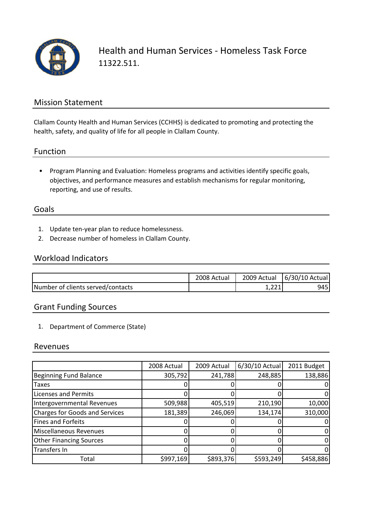

Health and Human Services ‐ Homeless Task Force 11322.511.

#### Mission Statement

Clallam County Health and Human Services (CCHHS) is dedicated to promoting and protecting the health, safety, and quality of life for all people in Clallam County.

#### Function

• Program Planning and Evaluation: Homeless programs and activities identify specific goals, objectives, and performance measures and establish mechanisms for regular monitoring, reporting, and use of results.

#### Goals

- 1. Update ten‐year plan to reduce homelessness.
- 2. Decrease number of homeless in Clallam County.

### Workload Indicators

|                                   | 2008 Actual | 2009 Actual  | 6/30/10 Actual |
|-----------------------------------|-------------|--------------|----------------|
| Number of clients served/contacts |             | <b>1,441</b> | 9451           |

## Grant Funding Sources

1. Department of Commerce (State)

#### Revenues

|                                       | 2008 Actual | 2009 Actual | 6/30/10 Actual | 2011 Budget |
|---------------------------------------|-------------|-------------|----------------|-------------|
| <b>Beginning Fund Balance</b>         | 305,792     | 241,788     | 248,885        | 138,886     |
| Taxes                                 |             |             |                |             |
| <b>Licenses and Permits</b>           |             |             |                |             |
| Intergovernmental Revenues            | 509,988     | 405,519     | 210,190        | 10,000      |
| <b>Charges for Goods and Services</b> | 181,389     | 246,069     | 134,174        | 310,000     |
| <b>Fines and Forfeits</b>             |             |             |                |             |
| <b>Miscellaneous Revenues</b>         |             |             |                |             |
| <b>Other Financing Sources</b>        |             |             |                |             |
| <b>Transfers In</b>                   |             |             |                | O           |
| Total                                 | \$997,169   | \$893,376   | \$593,249      | \$458,886   |